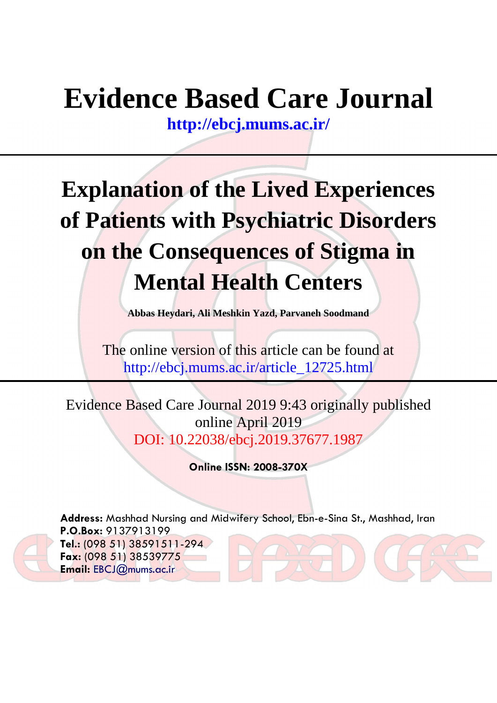# **Evidence Based Care Journal**

**<http://ebcj.mums.ac.ir/>**

# **Explanation of the Lived Experiences of Patients with Psychiatric Disorders on the Consequences of Stigma in Mental Health Centers**

**Abbas Heydari, Ali Meshkin Yazd, Parvaneh Soodmand**

The online version of this article can be found at http://ebcj.mums.ac.ir/article\_12725.html

Evidence Based Care Journal 2019 9:43 originally published online April 2019 DOI: 10.22038/ebcj.2019.37677.1987

**Online ISSN: 2008-370X**

**Address:** Mashhad Nursing and Midwifery School, Ebn-e-Sina St., Mashhad, Iran **P.O.Box:** 9137913199 **Tel.:** (098 51) 38591511-294 **Fax:** (098 51) 38539775 **Email:** [EBCJ@mums.ac.ir](mailto:EBCJ@mums.ac.ir)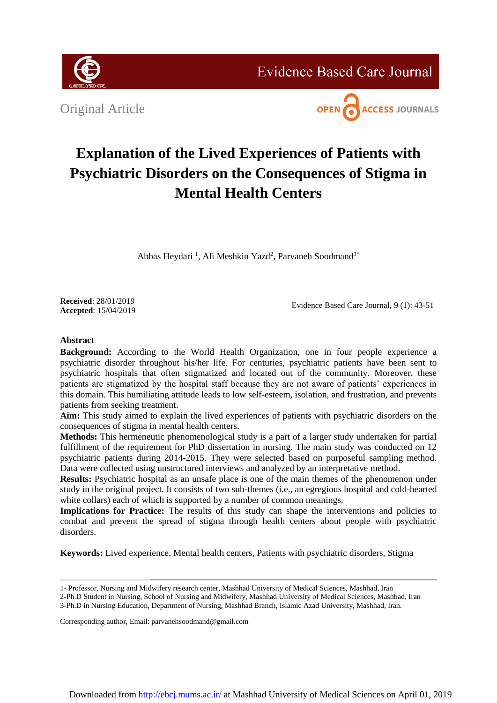

**Evidence Based Care Journal** 

Original Article



# **Explanation of the Lived Experiences of Patients with Psychiatric Disorders on the Consequences of Stigma in Mental Health Centers**

Abbas Heydari<sup>1</sup>, Ali Meshkin Yazd<sup>2</sup>, Parvaneh Soodmand<sup>3\*</sup>

**Received**: 28/01/2019 **Accepted**: 15/04/2019

Evidence Based Care Journal, 9 (1): 43-51

# **Abstract**

**Background:** According to the World Health Organization, one in four people experience a psychiatric disorder throughout his/her life. For centuries, psychiatric patients have been sent to psychiatric hospitals that often stigmatized and located out of the community. Moreover, these patients are stigmatized by the hospital staff because they are not aware of patients' experiences in this domain. This humiliating attitude leads to low self-esteem, isolation, and frustration, and prevents patients from seeking treatment.

**Aim:** This study aimed to explain the lived experiences of patients with psychiatric disorders on the consequences of stigma in mental health centers.

**Methods:** This hermeneutic phenomenological study is a part of a larger study undertaken for partial fulfillment of the requirement for PhD dissertation in nursing. The main study was conducted on 12 psychiatric patients during 2014-2015. They were selected based on purposeful sampling method. Data were collected using unstructured interviews and analyzed by an interpretative method.

**Results:** Psychiatric hospital as an unsafe place is one of the main themes of the phenomenon under study in the original project. It consists of two sub-themes (i.e., an egregious hospital and cold-hearted white collars) each of which is supported by a number of common meanings.

Implications for Practice: The results of this study can shape the interventions and policies to combat and prevent the spread of stigma through health centers about people with psychiatric disorders.

**Keywords:** Lived experience, Mental health centers, Patients with psychiatric disorders, Stigma

Corresponding author, Email: parvanehsoodmand@gmail.com

<sup>1-</sup> Professor, Nursing and Midwifery research center, Mashhad University of Medical Sciences, Mashhad, Iran

<sup>2-</sup>Ph.D Student in Nursing, School of Nursing and Midwifery, Mashhad University of Medical Sciences, Mashhad, Iran 3-Ph.D in Nursing Education, Department of Nursing, Mashhad Branch, Islamic Azad University, Mashhad, Iran.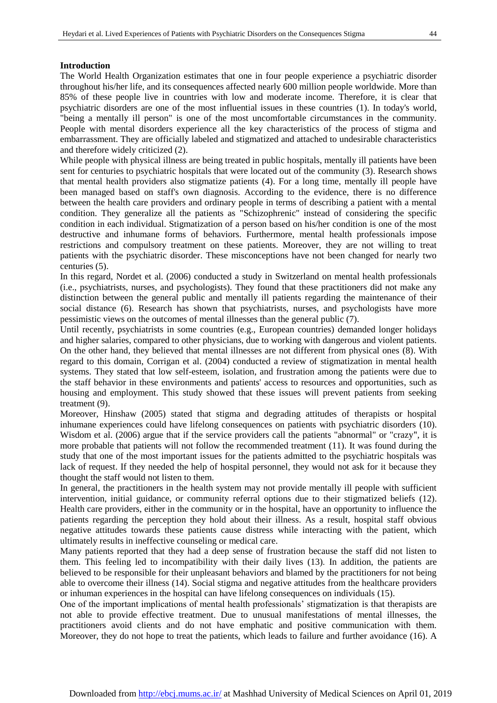### **Introduction**

The World Health Organization estimates that one in four people experience a psychiatric disorder throughout his/her life, and its consequences affected nearly 600 million people worldwide. More than 85% of these people live in countries with low and moderate income. Therefore, it is clear that psychiatric disorders are one of the most influential issues in these countries (1). In today's world, "being a mentally ill person" is one of the most uncomfortable circumstances in the community. People with mental disorders experience all the key characteristics of the process of stigma and embarrassment. They are officially labeled and stigmatized and attached to undesirable characteristics and therefore widely criticized (2).

While people with physical illness are being treated in public hospitals, mentally ill patients have been sent for centuries to psychiatric hospitals that were located out of the community (3). Research shows that mental health providers also stigmatize patients (4). For a long time, mentally ill people have been managed based on staff's own diagnosis. According to the evidence, there is no difference between the health care providers and ordinary people in terms of describing a patient with a mental condition. They generalize all the patients as "Schizophrenic" instead of considering the specific condition in each individual. Stigmatization of a person based on his/her condition is one of the most destructive and inhumane forms of behaviors. Furthermore, mental health professionals impose restrictions and compulsory treatment on these patients. Moreover, they are not willing to treat patients with the psychiatric disorder. These misconceptions have not been changed for nearly two centuries (5).

In this regard, Nordet et al. (2006) conducted a study in Switzerland on mental health professionals (i.e., psychiatrists, nurses, and psychologists). They found that these practitioners did not make any distinction between the general public and mentally ill patients regarding the maintenance of their social distance (6). Research has shown that psychiatrists, nurses, and psychologists have more pessimistic views on the outcomes of mental illnesses than the general public (7).

Until recently, psychiatrists in some countries (e.g., European countries) demanded longer holidays and higher salaries, compared to other physicians, due to working with dangerous and violent patients. On the other hand, they believed that mental illnesses are not different from physical ones (8). With regard to this domain, Corrigan et al. (2004) conducted a review of stigmatization in mental health systems. They stated that low self-esteem, isolation, and frustration among the patients were due to the staff behavior in these environments and patients' access to resources and opportunities, such as housing and employment. This study showed that these issues will prevent patients from seeking treatment (9).

Moreover, Hinshaw (2005) stated that stigma and degrading attitudes of therapists or hospital inhumane experiences could have lifelong consequences on patients with psychiatric disorders (10). Wisdom et al. (2006) argue that if the service providers call the patients "abnormal" or "crazy", it is more probable that patients will not follow the recommended treatment (11). It was found during the study that one of the most important issues for the patients admitted to the psychiatric hospitals was lack of request. If they needed the help of hospital personnel, they would not ask for it because they thought the staff would not listen to them.

In general, the practitioners in the health system may not provide mentally ill people with sufficient intervention, initial guidance, or community referral options due to their stigmatized beliefs (12). Health care providers, either in the community or in the hospital, have an opportunity to influence the patients regarding the perception they hold about their illness. As a result, hospital staff obvious negative attitudes towards these patients cause distress while interacting with the patient, which ultimately results in ineffective counseling or medical care.

Many patients reported that they had a deep sense of frustration because the staff did not listen to them. This feeling led to incompatibility with their daily lives (13). In addition, the patients are believed to be responsible for their unpleasant behaviors and blamed by the practitioners for not being able to overcome their illness (14). Social stigma and negative attitudes from the healthcare providers or inhuman experiences in the hospital can have lifelong consequences on individuals (15).

One of the important implications of mental health professionals' stigmatization is that therapists are not able to provide effective treatment. Due to unusual manifestations of mental illnesses, the practitioners avoid clients and do not have emphatic and positive communication with them. Moreover, they do not hope to treat the patients, which leads to failure and further avoidance (16). A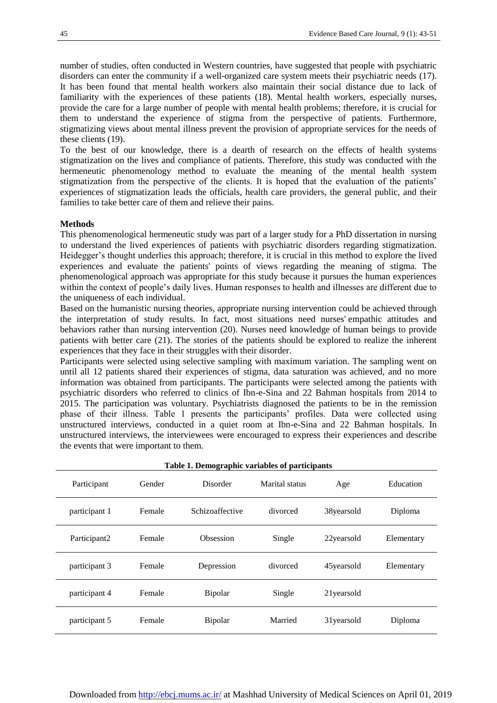number of studies, often conducted in Western countries, have suggested that people with psychiatric disorders can enter the community if a well-organized care system meets their psychiatric needs (17). It has been found that mental health workers also maintain their social distance due to lack of familiarity with the experiences of these patients (18). Mental health workers, especially nurses, provide the care for a large number of people with mental health problems; therefore, it is crucial for them to understand the experience of stigma from the perspective of patients. Furthermore, stigmatizing views about mental illness prevent the provision of appropriate services for the needs of these clients (19).

To the best of our knowledge, there is a dearth of research on the effects of health systems stigmatization on the lives and compliance of patients. Therefore, this study was conducted with the hermeneutic phenomenology method to evaluate the meaning of the mental health system stigmatization from the perspective of the clients. It is hoped that the evaluation of the patients' experiences of stigmatization leads the officials, health care providers, the general public, and their families to take better care of them and relieve their pains.

#### **Methods**

This phenomenological hermeneutic study was part of a larger study for a PhD dissertation in nursing to understand the lived experiences of patients with psychiatric disorders regarding stigmatization. Heidegger's thought underlies this approach; therefore, it is crucial in this method to explore the lived experiences and evaluate the patients' points of views regarding the meaning of stigma. The phenomenological approach was appropriate for this study because it pursues the human experiences within the context of people's daily lives. Human responses to health and illnesses are different due to the uniqueness of each individual.

Based on the humanistic nursing theories, appropriate nursing intervention could be achieved through the interpretation of study results. In fact, most situations need nurses' empathic attitudes and behaviors rather than nursing intervention (20). Nurses need knowledge of human beings to provide patients with better care (21). The stories of the patients should be explored to realize the inherent experiences that they face in their struggles with their disorder.

Participants were selected using selective sampling with maximum variation. The sampling went on until all 12 patients shared their experiences of stigma, data saturation was achieved, and no more information was obtained from participants. The participants were selected among the patients with psychiatric disorders who referred to clinics of Ibn-e-Sina and 22 Bahman hospitals from 2014 to 2015. The participation was voluntary. Psychiatrists diagnosed the patients to be in the remission phase of their illness. Table 1 presents the participants' profiles. Data were collected using unstructured interviews, conducted in a quiet room at Ibn-e-Sina and 22 Bahman hospitals. In unstructured interviews, the interviewees were encouraged to express their experiences and describe the events that were important to them.

| Participant   | Gender | Disorder        | Marital status | Age          | Education  |
|---------------|--------|-----------------|----------------|--------------|------------|
| participant 1 | Female | Schizoaffective | divorced       | 38yearsold   | Diploma    |
| Participant2  | Female | Obsession       | Single         | 22yearsold   | Elementary |
| participant 3 | Female | Depression      | divorced       | 45 years old | Elementary |
| participant 4 | Female | <b>Bipolar</b>  | Single         | 21 years old |            |
| participant 5 | Female | Bipolar         | Married        | 31 years old | Diploma    |

**Table 1. Demographic variables of participants**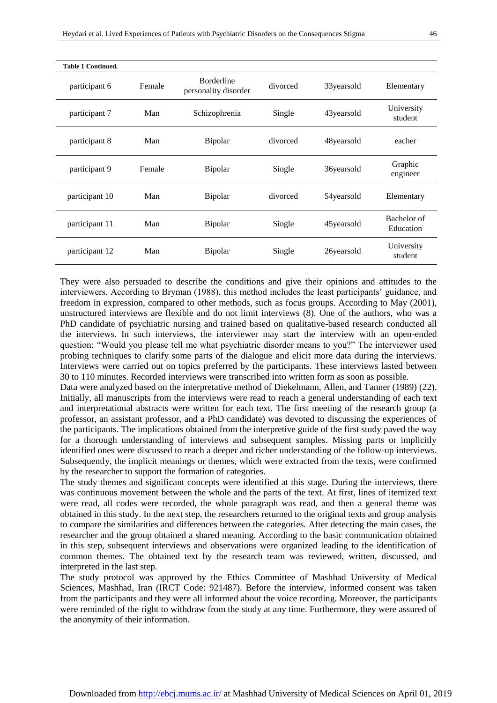| <b>Table 1 Continued.</b> |        |                                           |          |              |                          |
|---------------------------|--------|-------------------------------------------|----------|--------------|--------------------------|
| participant 6             | Female | <b>Borderline</b><br>personality disorder | divorced | 33 years old | Elementary               |
| participant 7             | Man    | Schizophrenia                             | Single   | 43yearsold   | University<br>student    |
| participant 8             | Man    | Bipolar                                   | divorced | 48yearsold   | eacher                   |
| participant 9             | Female | Bipolar                                   | Single   | 36yearsold   | Graphic<br>engineer      |
| participant 10            | Man    | Bipolar                                   | divorced | 54 years old | Elementary               |
| participant 11            | Man    | Bipolar                                   | Single   | 45yearsold   | Bachelor of<br>Education |
| participant 12            | Man    | Bipolar                                   | Single   | 26yearsold   | University<br>student    |

They were also persuaded to describe the conditions and give their opinions and attitudes to the interviewers. According to Bryman (1988), this method includes the least participants' guidance, and freedom in expression, compared to other methods, such as focus groups. According to May (2001), unstructured interviews are flexible and do not limit interviews (8). One of the authors, who was a PhD candidate of psychiatric nursing and trained based on qualitative-based research conducted all the interviews. In such interviews, the interviewer may start the interview with an open-ended question: "Would you please tell me what psychiatric disorder means to you?" The interviewer used probing techniques to clarify some parts of the dialogue and elicit more data during the interviews. Interviews were carried out on topics preferred by the participants. These interviews lasted between 30 to 110 minutes. Recorded interviews were transcribed into written form as soon as possible.

Data were analyzed based on the interpretative method of Diekelmann, Allen, and Tanner (1989) (22). Initially, all manuscripts from the interviews were read to reach a general understanding of each text and interpretational abstracts were written for each text. The first meeting of the research group (a professor, an assistant professor, and a PhD candidate) was devoted to discussing the experiences of the participants. The implications obtained from the interpretive guide of the first study paved the way for a thorough understanding of interviews and subsequent samples. Missing parts or implicitly identified ones were discussed to reach a deeper and richer understanding of the follow-up interviews. Subsequently, the implicit meanings or themes, which were extracted from the texts, were confirmed by the researcher to support the formation of categories.

The study themes and significant concepts were identified at this stage. During the interviews, there was continuous movement between the whole and the parts of the text. At first, lines of itemized text were read, all codes were recorded, the whole paragraph was read, and then a general theme was obtained in this study. In the next step, the researchers returned to the original texts and group analysis to compare the similarities and differences between the categories. After detecting the main cases, the researcher and the group obtained a shared meaning. According to the basic communication obtained in this step, subsequent interviews and observations were organized leading to the identification of common themes. The obtained text by the research team was reviewed, written, discussed, and interpreted in the last step.

The study protocol was approved by the Ethics Committee of Mashhad University of Medical Sciences, Mashhad, Iran (IRCT Code: 921487). Before the interview, informed consent was taken from the participants and they were all informed about the voice recording. Moreover, the participants were reminded of the right to withdraw from the study at any time. Furthermore, they were assured of the anonymity of their information.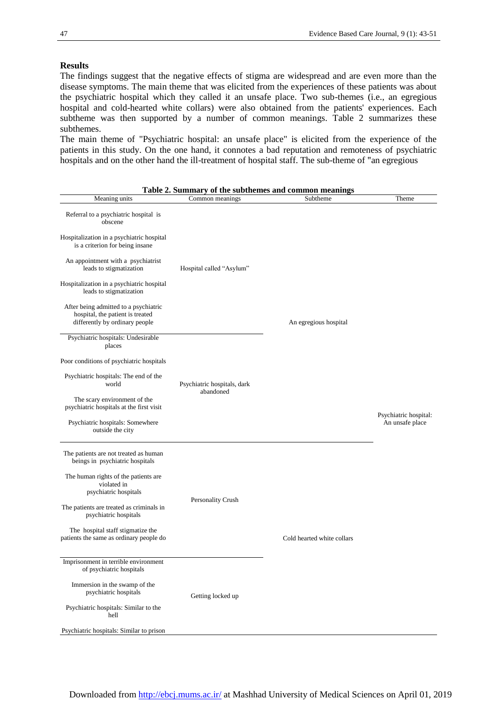#### **Results**

The findings suggest that the negative effects of stigma are widespread and are even more than the disease symptoms. The main theme that was elicited from the experiences of these patients was about the psychiatric hospital which they called it an unsafe place. Two sub-themes (i.e., an egregious hospital and cold-hearted white collars) were also obtained from the patients' experiences. Each subtheme was then supported by a number of common meanings. Table 2 summarizes these subthemes.

The main theme of "Psychiatric hospital: an unsafe place" is elicited from the experience of the patients in this study. On the one hand, it connotes a bad reputation and remoteness of psychiatric hospitals and on the other hand the ill-treatment of hospital staff. The sub-theme of "an egregious

|                                                                                                                                                                                                                                                                                                                                                                                          | Table 2. Summary of the subthemes and common meanings |                            |                                          |
|------------------------------------------------------------------------------------------------------------------------------------------------------------------------------------------------------------------------------------------------------------------------------------------------------------------------------------------------------------------------------------------|-------------------------------------------------------|----------------------------|------------------------------------------|
| Meaning units                                                                                                                                                                                                                                                                                                                                                                            | Common meanings                                       | Subtheme                   | Theme                                    |
| Referral to a psychiatric hospital is<br>obscene<br>Hospitalization in a psychiatric hospital<br>is a criterion for being insane<br>An appointment with a psychiatrist<br>leads to stigmatization<br>Hospitalization in a psychiatric hospital<br>leads to stigmatization<br>After being admitted to a psychiatric<br>hospital, the patient is treated<br>differently by ordinary people | Hospital called "Asylum"                              | An egregious hospital      |                                          |
| Psychiatric hospitals: Undesirable<br>places                                                                                                                                                                                                                                                                                                                                             |                                                       |                            |                                          |
| Poor conditions of psychiatric hospitals                                                                                                                                                                                                                                                                                                                                                 |                                                       |                            |                                          |
| Psychiatric hospitals: The end of the<br>world                                                                                                                                                                                                                                                                                                                                           | Psychiatric hospitals, dark                           |                            |                                          |
| The scary environment of the<br>psychiatric hospitals at the first visit                                                                                                                                                                                                                                                                                                                 | abandoned                                             |                            |                                          |
| Psychiatric hospitals: Somewhere<br>outside the city                                                                                                                                                                                                                                                                                                                                     |                                                       |                            | Psychiatric hospital:<br>An unsafe place |
| The patients are not treated as human<br>beings in psychiatric hospitals                                                                                                                                                                                                                                                                                                                 |                                                       |                            |                                          |
| The human rights of the patients are<br>violated in<br>psychiatric hospitals                                                                                                                                                                                                                                                                                                             |                                                       |                            |                                          |
| The patients are treated as criminals in<br>psychiatric hospitals                                                                                                                                                                                                                                                                                                                        | Personality Crush                                     |                            |                                          |
| The hospital staff stigmatize the<br>patients the same as ordinary people do                                                                                                                                                                                                                                                                                                             |                                                       | Cold hearted white collars |                                          |
| Imprisonment in terrible environment<br>of psychiatric hospitals                                                                                                                                                                                                                                                                                                                         |                                                       |                            |                                          |
| Immersion in the swamp of the<br>psychiatric hospitals                                                                                                                                                                                                                                                                                                                                   | Getting locked up                                     |                            |                                          |
| Psychiatric hospitals: Similar to the<br>hell                                                                                                                                                                                                                                                                                                                                            |                                                       |                            |                                          |
| Psychiatric hospitals: Similar to prison                                                                                                                                                                                                                                                                                                                                                 |                                                       |                            |                                          |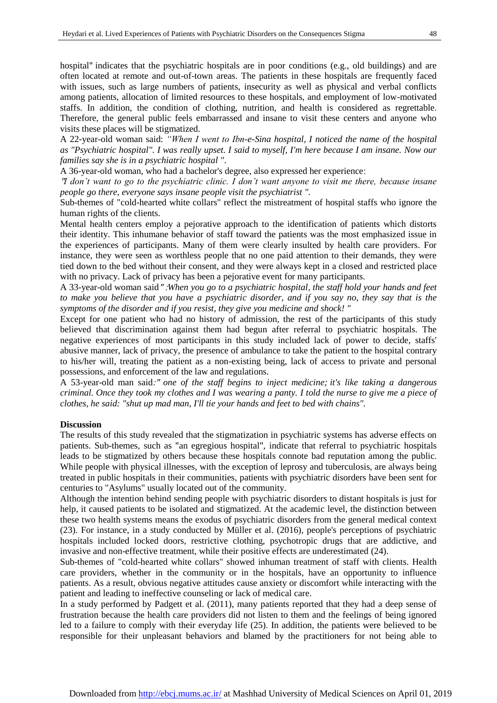hospital" indicates that the psychiatric hospitals are in poor conditions (e.g., old buildings) and are often located at remote and out-of-town areas. The patients in these hospitals are frequently faced with issues, such as large numbers of patients, insecurity as well as physical and verbal conflicts among patients, allocation of limited resources to these hospitals, and employment of low-motivated staffs. In addition, the condition of clothing, nutrition, and health is considered as regrettable. Therefore, the general public feels embarrassed and insane to visit these centers and anyone who visits these places will be stigmatized.

A 22-year-old woman said: *"When I went to Ibn-e-Sina hospital, I noticed the name of the hospital as "Psychiatric hospital". I was really upset. I said to myself, I'm here because I am insane. Now our families say she is in a psychiatric hospital "*.

A 36-year-old woman, who had a bachelor's degree, also expressed her experience:

"*I don't want to go to the psychiatric clinic. I don't want anyone to visit me there, because insane people go there*, *everyone says insane people visit the psychiatrist ".* 

Sub-themes of "cold-hearted white collars" reflect the mistreatment of hospital staffs who ignore the human rights of the clients.

Mental health centers employ a pejorative approach to the identification of patients which distorts their identity. This inhumane behavior of staff toward the patients was the most emphasized issue in the experiences of participants. Many of them were clearly insulted by health care providers. For instance, they were seen as worthless people that no one paid attention to their demands, they were tied down to the bed without their consent, and they were always kept in a closed and restricted place with no privacy. Lack of privacy has been a pejorative event for many participants.

A 33-year-old woman said" :*When you go to a psychiatric hospital*, *the staff hold your hands and feet to make you believe that you have a psychiatric disorder, and if you say no, they say that is the symptoms of the disorder and if you resist, they give you medicine and shock! "*

Except for one patient who had no history of admission, the rest of the participants of this study believed that discrimination against them had begun after referral to psychiatric hospitals. The negative experiences of most participants in this study included lack of power to decide, staffs' abusive manner, lack of privacy, the presence of ambulance to take the patient to the hospital contrary to his/her will, treating the patient as a non-existing being, lack of access to private and personal possessions, and enforcement of the law and regulations.

A 53-year-old man said:" *one of the staff begins to inject medicine; it's like taking a dangerous criminal. Once they took my clothes and I was wearing a panty. I told the nurse to give me a piece of clothes, he said: "shut up mad man, I'll tie your hands and feet to bed with chains".*

### **Discussion**

The results of this study revealed that the stigmatization in psychiatric systems has adverse effects on patients. Sub-themes, such as "an egregious hospital", indicate that referral to psychiatric hospitals leads to be stigmatized by others because these hospitals connote bad reputation among the public. While people with physical illnesses, with the exception of leprosy and tuberculosis, are always being treated in public hospitals in their communities, patients with psychiatric disorders have been sent for centuries to "Asylums" usually located out of the community.

Although the intention behind sending people with psychiatric disorders to distant hospitals is just for help, it caused patients to be isolated and stigmatized. At the academic level, the distinction between these two health systems means the exodus of psychiatric disorders from the general medical context (23). For instance, in a study conducted by Müller et al. (2016), people's perceptions of psychiatric hospitals included locked doors, restrictive clothing, psychotropic drugs that are addictive, and invasive and non-effective treatment, while their positive effects are underestimated (24).

Sub-themes of "cold-hearted white collars" showed inhuman treatment of staff with clients. Health care providers, whether in the community or in the hospitals, have an opportunity to influence patients. As a result, obvious negative attitudes cause anxiety or discomfort while interacting with the patient and leading to ineffective counseling or lack of medical care.

In a study performed by Padgett et al. (2011), many patients reported that they had a deep sense of frustration because the health care providers did not listen to them and the feelings of being ignored led to a failure to comply with their everyday life (25). In addition, the patients were believed to be responsible for their unpleasant behaviors and blamed by the practitioners for not being able to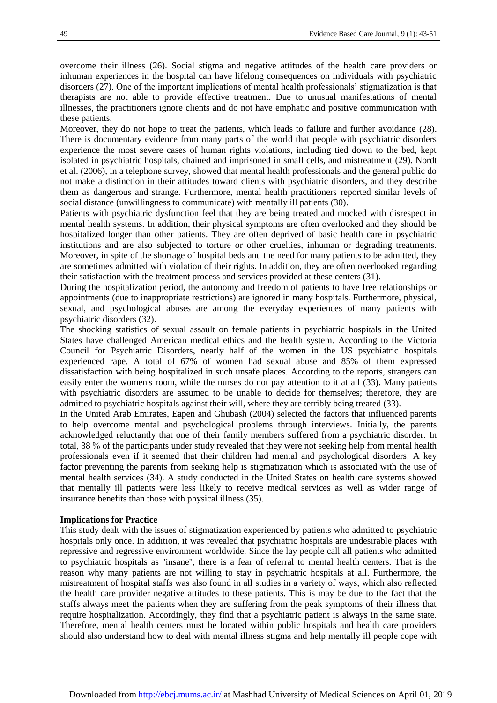overcome their illness (26). Social stigma and negative attitudes of the health care providers or inhuman experiences in the hospital can have lifelong consequences on individuals with psychiatric disorders (27). One of the important implications of mental health professionals' stigmatization is that therapists are not able to provide effective treatment. Due to unusual manifestations of mental illnesses, the practitioners ignore clients and do not have emphatic and positive communication with these patients.

Moreover, they do not hope to treat the patients, which leads to failure and further avoidance (28). There is documentary evidence from many parts of the world that people with psychiatric disorders experience the most severe cases of human rights violations, including tied down to the bed, kept isolated in psychiatric hospitals, chained and imprisoned in small cells, and mistreatment (29). Nordt et al. (2006), in a telephone survey, showed that mental health professionals and the general public do not make a distinction in their attitudes toward clients with psychiatric disorders, and they describe them as dangerous and strange. Furthermore, mental health practitioners reported similar levels of social distance (unwillingness to communicate) with mentally ill patients (30).

Patients with psychiatric dysfunction feel that they are being treated and mocked with disrespect in mental health systems. In addition, their physical symptoms are often overlooked and they should be hospitalized longer than other patients. They are often deprived of basic health care in psychiatric institutions and are also subjected to torture or other cruelties, inhuman or degrading treatments. Moreover, in spite of the shortage of hospital beds and the need for many patients to be admitted, they are sometimes admitted with violation of their rights. In addition, they are often overlooked regarding their satisfaction with the treatment process and services provided at these centers (31).

During the hospitalization period, the autonomy and freedom of patients to have free relationships or appointments (due to inappropriate restrictions) are ignored in many hospitals. Furthermore, physical, sexual, and psychological abuses are among the everyday experiences of many patients with psychiatric disorders (32).

The shocking statistics of sexual assault on female patients in psychiatric hospitals in the United States have challenged American medical ethics and the health system. According to the Victoria Council for Psychiatric Disorders, nearly half of the women in the US psychiatric hospitals experienced rape. A total of 67% of women had sexual abuse and 85% of them expressed dissatisfaction with being hospitalized in such unsafe places. According to the reports, strangers can easily enter the women's room, while the nurses do not pay attention to it at all (33). Many patients with psychiatric disorders are assumed to be unable to decide for themselves; therefore, they are admitted to psychiatric hospitals against their will, where they are terribly being treated (33).

In the United Arab Emirates, Eapen and Ghubash (2004) selected the factors that influenced parents to help overcome mental and psychological problems through interviews. Initially, the parents acknowledged reluctantly that one of their family members suffered from a psychiatric disorder. In total, 38 % of the participants under study revealed that they were not seeking help from mental health professionals even if it seemed that their children had mental and psychological disorders. A key factor preventing the parents from seeking help is stigmatization which is associated with the use of mental health services (34). A study conducted in the United States on health care systems showed that mentally ill patients were less likely to receive medical services as well as wider range of insurance benefits than those with physical illness (35).

#### **Implications for Practice**

This study dealt with the issues of stigmatization experienced by patients who admitted to psychiatric hospitals only once. In addition, it was revealed that psychiatric hospitals are undesirable places with repressive and regressive environment worldwide. Since the lay people call all patients who admitted to psychiatric hospitals as ''insane'', there is a fear of referral to mental health centers. That is the reason why many patients are not willing to stay in psychiatric hospitals at all. Furthermore, the mistreatment of hospital staffs was also found in all studies in a variety of ways, which also reflected the health care provider negative attitudes to these patients. This is may be due to the fact that the staffs always meet the patients when they are suffering from the peak symptoms of their illness that require hospitalization. Accordingly, they find that a psychiatric patient is always in the same state. Therefore, mental health centers must be located within public hospitals and health care providers should also understand how to deal with mental illness stigma and help mentally ill people cope with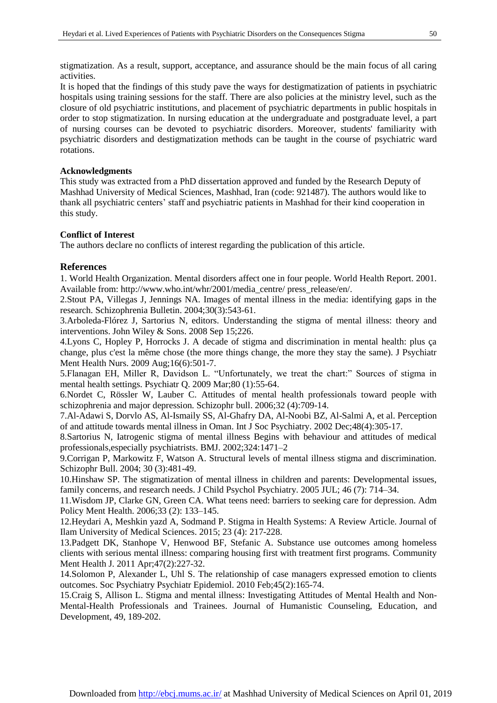stigmatization. As a result, support, acceptance, and assurance should be the main focus of all caring activities.

It is hoped that the findings of this study pave the ways for destigmatization of patients in psychiatric hospitals using training sessions for the staff. There are also policies at the ministry level, such as the closure of old psychiatric institutions, and placement of psychiatric departments in public hospitals in order to stop stigmatization. In nursing education at the undergraduate and postgraduate level, a part of nursing courses can be devoted to psychiatric disorders. Moreover, students' familiarity with psychiatric disorders and destigmatization methods can be taught in the course of psychiatric ward rotations.

## **Acknowledgments**

This study was extracted from a PhD dissertation approved and funded by the Research Deputy of Mashhad University of Medical Sciences, Mashhad, Iran (code: 921487). The authors would like to thank all psychiatric centers' staff and psychiatric patients in Mashhad for their kind cooperation in this study.

### **Conflict of Interest**

The authors declare no conflicts of interest regarding the publication of this article.

## **References**

1. World Health Organization. Mental disorders affect one in four people. World Health Report. 2001. Available from: http:/[/www.who.int/whr/2001/media\\_centre/](file:///C:/2-My%20Journal/Articles/valizadehn2/AppData/Local/Microsoft/Windows/INetCache/me/Desktop/مجله%20تهران/www.who.int/whr/2001/media_centre/) press\_release/en/.

2.Stout PA, Villegas J, Jennings NA. Images of mental illness in the media: identifying gaps in the research. Schizophrenia Bulletin. 2004;30(3):543-61.

3.Arboleda-Flórez J, Sartorius N, editors. Understanding the stigma of mental illness: theory and interventions. John Wiley & Sons. 2008 Sep 15;226.

4.Lyons C, Hopley P, Horrocks J. A decade of stigma and discrimination in mental health: plus ça change, plus c'est la même chose (the more things change, the more they stay the same). J Psychiatr Ment Health Nurs. 2009 Aug;16(6):501-7.

5.Flanagan EH, Miller R, Davidson L. "Unfortunately, we treat the chart:" Sources of stigma in mental health settings. Psychiatr Q. 2009 Mar;80 (1):55-64.

6.Nordet C, Rössler W, Lauber C. Attitudes of mental health professionals toward people with schizophrenia and major depression. Schizophr bull. 2006;32 (4):709-14.

7.Al-Adawi S, Dorvlo AS, Al-Ismaily SS, Al-Ghafry DA, Al-Noobi BZ, Al-Salmi A, et al. Perception of and attitude towards mental illness in Oman. [Int J Soc Psychiatry.](https://www.ncbi.nlm.nih.gov/pubmed/12553410) 2002 Dec;48(4):305-17.

8.Sartorius N, Iatrogenic stigma of mental illness Begins with behaviour and attitudes of medical professionals,especially psychiatrists. BMJ. 2002;324:1471–2

9.Corrigan P, Markowitz F, Watson A. Structural levels of mental illness stigma and discrimination. Schizophr Bull. 2004; 30 (3):481-49.

10.Hinshaw SP. The stigmatization of mental illness in children and parents: Developmental issues, family concerns, and research needs. J Child Psychol Psychiatry. 2005 JUL; 46 (7): 714–34.

11.Wisdom JP, Clarke GN, Green CA. What teens need: barriers to seeking care for depression. Adm Policy Ment Health. 2006;33 (2): 133–145.

12.Heydari A, Meshkin yazd A, Sodmand P. Stigma in Health Systems: A Review Article. Journal of Ilam University of Medical Sciences. 2015; 23 (4): 217-228.

13.Padgett DK, Stanhope V, Henwood BF, Stefanic A. Substance use outcomes among homeless clients with serious mental illness: comparing housing first with treatment first programs. [Community](https://www.ncbi.nlm.nih.gov/pubmed/20063061)  Ment [Health](https://www.ncbi.nlm.nih.gov/pubmed/20063061) J. 2011 Apr;47(2):227-32.

14.Solomon P, Alexander L, Uhl S. The relationship of case managers expressed emotion to clients outcomes[. Soc Psychiatry Psychiatr Epidemiol.](https://www.ncbi.nlm.nih.gov/pubmed/19370297) 2010 Feb;45(2):165-74.

15.Craig S, Allison L. Stigma and mental illness: Investigating Attitudes of Mental Health and Non-Mental-Health Professionals and Trainees. Journal of Humanistic Counseling, Education, and Development, 49, 189-202.